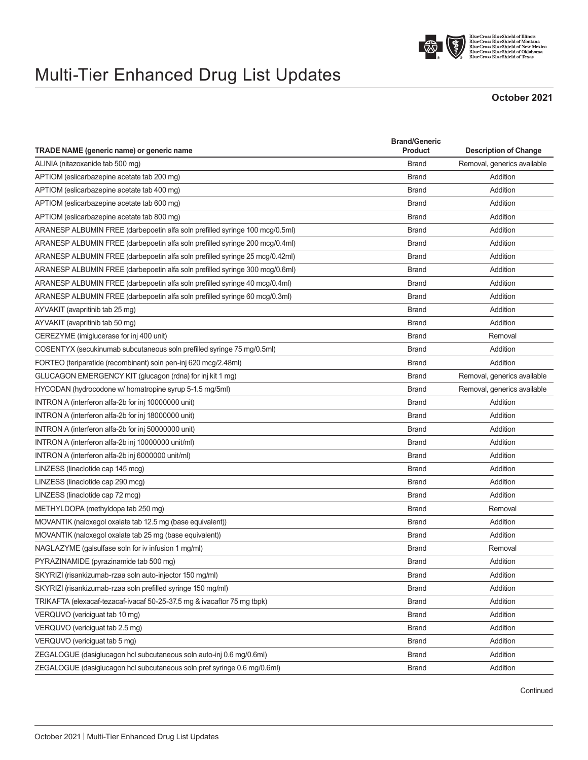

## Multi-Tier Enhanced Drug List Updates

## **October 2021**

| TRADE NAME (generic name) or generic name                                    | <b>Brand/Generic</b><br><b>Product</b> | <b>Description of Change</b> |
|------------------------------------------------------------------------------|----------------------------------------|------------------------------|
| ALINIA (nitazoxanide tab 500 mg)                                             | <b>Brand</b>                           | Removal, generics available  |
| APTIOM (eslicarbazepine acetate tab 200 mg)                                  | <b>Brand</b>                           | Addition                     |
| APTIOM (eslicarbazepine acetate tab 400 mg)                                  | <b>Brand</b>                           | Addition                     |
| APTIOM (eslicarbazepine acetate tab 600 mg)                                  | <b>Brand</b>                           | Addition                     |
| APTIOM (eslicarbazepine acetate tab 800 mg)                                  | <b>Brand</b>                           | Addition                     |
| ARANESP ALBUMIN FREE (darbepoetin alfa soln prefilled syringe 100 mcg/0.5ml) | <b>Brand</b>                           | Addition                     |
| ARANESP ALBUMIN FREE (darbepoetin alfa soln prefilled syringe 200 mcg/0.4ml) | <b>Brand</b>                           | Addition                     |
| ARANESP ALBUMIN FREE (darbepoetin alfa soln prefilled syringe 25 mcq/0.42ml) | <b>Brand</b>                           | Addition                     |
| ARANESP ALBUMIN FREE (darbepoetin alfa soln prefilled syringe 300 mcg/0.6ml) | <b>Brand</b>                           | Addition                     |
| ARANESP ALBUMIN FREE (darbepoetin alfa soln prefilled syringe 40 mcg/0.4ml)  | <b>Brand</b>                           | Addition                     |
| ARANESP ALBUMIN FREE (darbepoetin alfa soln prefilled syringe 60 mcg/0.3ml)  | <b>Brand</b>                           | Addition                     |
| AYVAKIT (avapritinib tab 25 mg)                                              | <b>Brand</b>                           | Addition                     |
| AYVAKIT (avapritinib tab 50 mg)                                              | <b>Brand</b>                           | Addition                     |
| CEREZYME (imiglucerase for inj 400 unit)                                     | <b>Brand</b>                           | Removal                      |
| COSENTYX (secukinumab subcutaneous soln prefilled syringe 75 mg/0.5ml)       | <b>Brand</b>                           | Addition                     |
| FORTEO (teriparatide (recombinant) soln pen-inj 620 mcg/2.48ml)              | <b>Brand</b>                           | Addition                     |
| GLUCAGON EMERGENCY KIT (glucagon (rdna) for inj kit 1 mg)                    | <b>Brand</b>                           | Removal, generics available  |
| HYCODAN (hydrocodone w/ homatropine syrup 5-1.5 mg/5ml)                      | <b>Brand</b>                           | Removal, generics available  |
| INTRON A (interferon alfa-2b for inj 10000000 unit)                          | <b>Brand</b>                           | Addition                     |
| INTRON A (interferon alfa-2b for inj 18000000 unit)                          | <b>Brand</b>                           | Addition                     |
| INTRON A (interferon alfa-2b for inj 50000000 unit)                          | <b>Brand</b>                           | Addition                     |
| INTRON A (interferon alfa-2b inj 10000000 unit/ml)                           | <b>Brand</b>                           | Addition                     |
| INTRON A (interferon alfa-2b inj 6000000 unit/ml)                            | <b>Brand</b>                           | Addition                     |
| LINZESS (linaclotide cap 145 mcg)                                            | <b>Brand</b>                           | Addition                     |
| LINZESS (linaclotide cap 290 mcg)                                            | <b>Brand</b>                           | Addition                     |
| LINZESS (linaclotide cap 72 mcg)                                             | <b>Brand</b>                           | Addition                     |
| METHYLDOPA (methyldopa tab 250 mg)                                           | <b>Brand</b>                           | Removal                      |
| MOVANTIK (naloxegol oxalate tab 12.5 mg (base equivalent))                   | <b>Brand</b>                           | Addition                     |
| MOVANTIK (naloxegol oxalate tab 25 mg (base equivalent))                     | <b>Brand</b>                           | Addition                     |
| NAGLAZYME (galsulfase soln for iv infusion 1 mg/ml)                          | <b>Brand</b>                           | Removal                      |
| PYRAZINAMIDE (pyrazinamide tab 500 mg)                                       | <b>Brand</b>                           | Addition                     |
| SKYRIZI (risankizumab-rzaa soln auto-injector 150 mg/ml)                     | <b>Brand</b>                           | Addition                     |
| SKYRIZI (risankizumab-rzaa soln prefilled syringe 150 mg/ml)                 | <b>Brand</b>                           | Addition                     |
| TRIKAFTA (elexacaf-tezacaf-ivacaf 50-25-37.5 mg & ivacaftor 75 mg tbpk)      | <b>Brand</b>                           | Addition                     |
| VERQUVO (vericiguat tab 10 mg)                                               | <b>Brand</b>                           | Addition                     |
| VERQUVO (vericiquat tab 2.5 mq)                                              | <b>Brand</b>                           | Addition                     |
| VERQUVO (vericiquat tab 5 mq)                                                | <b>Brand</b>                           | Addition                     |
| ZEGALOGUE (dasiglucagon hcl subcutaneous soln auto-inj 0.6 mg/0.6ml)         | <b>Brand</b>                           | Addition                     |
| ZEGALOGUE (dasiglucagon hcl subcutaneous soln pref syringe 0.6 mg/0.6ml)     | <b>Brand</b>                           | Addition                     |

Continued